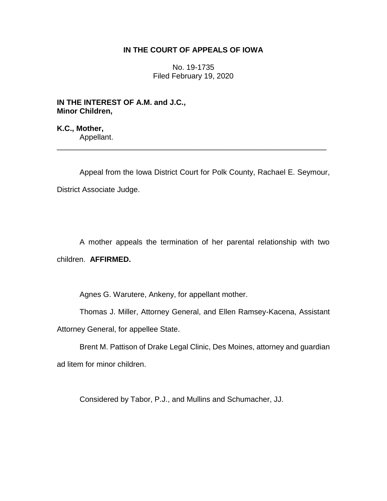## **IN THE COURT OF APPEALS OF IOWA**

No. 19-1735 Filed February 19, 2020

**IN THE INTEREST OF A.M. and J.C., Minor Children,**

**K.C., Mother,** Appellant.

Appeal from the Iowa District Court for Polk County, Rachael E. Seymour, District Associate Judge.

\_\_\_\_\_\_\_\_\_\_\_\_\_\_\_\_\_\_\_\_\_\_\_\_\_\_\_\_\_\_\_\_\_\_\_\_\_\_\_\_\_\_\_\_\_\_\_\_\_\_\_\_\_\_\_\_\_\_\_\_\_\_\_\_

A mother appeals the termination of her parental relationship with two children. **AFFIRMED.**

Agnes G. Warutere, Ankeny, for appellant mother.

Thomas J. Miller, Attorney General, and Ellen Ramsey-Kacena, Assistant Attorney General, for appellee State.

Brent M. Pattison of Drake Legal Clinic, Des Moines, attorney and guardian ad litem for minor children.

Considered by Tabor, P.J., and Mullins and Schumacher, JJ.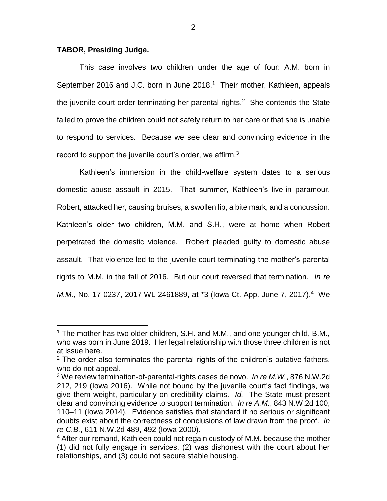## **TABOR, Presiding Judge.**

 $\overline{a}$ 

This case involves two children under the age of four: A.M. born in September 2016 and J.C. born in June 2018.<sup>1</sup> Their mother, Kathleen, appeals the juvenile court order terminating her parental rights.<sup>2</sup> She contends the State failed to prove the children could not safely return to her care or that she is unable to respond to services. Because we see clear and convincing evidence in the record to support the juvenile court's order, we affirm.<sup>3</sup>

Kathleen's immersion in the child-welfare system dates to a serious domestic abuse assault in 2015. That summer, Kathleen's live-in paramour, Robert, attacked her, causing bruises, a swollen lip, a bite mark, and a concussion. Kathleen's older two children, M.M. and S.H., were at home when Robert perpetrated the domestic violence. Robert pleaded guilty to domestic abuse assault. That violence led to the juvenile court terminating the mother's parental rights to M.M. in the fall of 2016. But our court reversed that termination. *In re M.M.*, No. 17-0237, 2017 WL 2461889, at \*3 (lowa Ct. App. June 7, 2017).<sup>4</sup> We

<sup>&</sup>lt;sup>1</sup> The mother has two older children, S.H. and M.M., and one younger child, B.M., who was born in June 2019. Her legal relationship with those three children is not at issue here.

 $2$  The order also terminates the parental rights of the children's putative fathers, who do not appeal.

<sup>3</sup> We review termination-of-parental-rights cases de novo. *In re M.W.*, 876 N.W.2d 212, 219 (Iowa 2016). While not bound by the juvenile court's fact findings, we give them weight, particularly on credibility claims. *Id.* The State must present clear and convincing evidence to support termination. *In re A.M.*, 843 N.W.2d 100, 110–11 (Iowa 2014). Evidence satisfies that standard if no serious or significant doubts exist about the correctness of conclusions of law drawn from the proof. *In re C.B.*, 611 N.W.2d 489, 492 (Iowa 2000).

<sup>&</sup>lt;sup>4</sup> After our remand, Kathleen could not regain custody of M.M. because the mother (1) did not fully engage in services, (2) was dishonest with the court about her relationships, and (3) could not secure stable housing.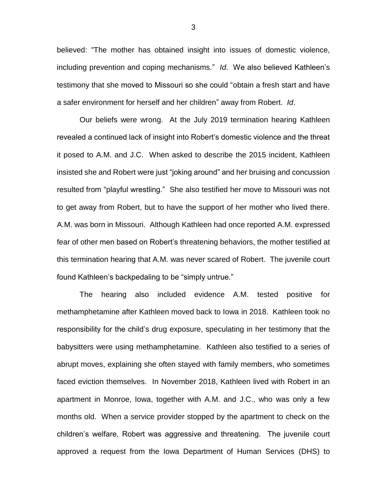believed: "The mother has obtained insight into issues of domestic violence, including prevention and coping mechanisms." *Id*. We also believed Kathleen's testimony that she moved to Missouri so she could "obtain a fresh start and have a safer environment for herself and her children" away from Robert. *Id*.

Our beliefs were wrong. At the July 2019 termination hearing Kathleen revealed a continued lack of insight into Robert's domestic violence and the threat it posed to A.M. and J.C. When asked to describe the 2015 incident, Kathleen insisted she and Robert were just "joking around" and her bruising and concussion resulted from "playful wrestling." She also testified her move to Missouri was not to get away from Robert, but to have the support of her mother who lived there. A.M. was born in Missouri. Although Kathleen had once reported A.M. expressed fear of other men based on Robert's threatening behaviors, the mother testified at this termination hearing that A.M. was never scared of Robert. The juvenile court found Kathleen's backpedaling to be "simply untrue."

The hearing also included evidence A.M. tested positive for methamphetamine after Kathleen moved back to Iowa in 2018. Kathleen took no responsibility for the child's drug exposure, speculating in her testimony that the babysitters were using methamphetamine. Kathleen also testified to a series of abrupt moves, explaining she often stayed with family members, who sometimes faced eviction themselves. In November 2018, Kathleen lived with Robert in an apartment in Monroe, Iowa, together with A.M. and J.C., who was only a few months old. When a service provider stopped by the apartment to check on the children's welfare, Robert was aggressive and threatening. The juvenile court approved a request from the Iowa Department of Human Services (DHS) to

3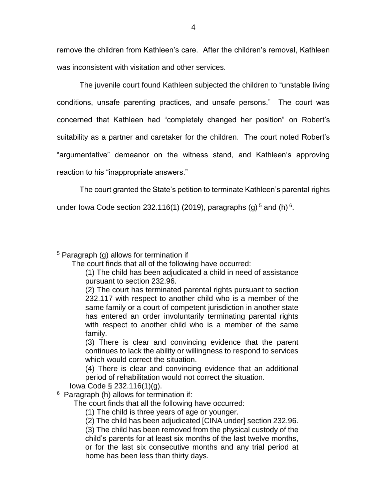remove the children from Kathleen's care. After the children's removal, Kathleen was inconsistent with visitation and other services.

The juvenile court found Kathleen subjected the children to "unstable living conditions, unsafe parenting practices, and unsafe persons." The court was concerned that Kathleen had "completely changed her position" on Robert's suitability as a partner and caretaker for the children. The court noted Robert's "argumentative" demeanor on the witness stand, and Kathleen's approving reaction to his "inappropriate answers."

The court granted the State's petition to terminate Kathleen's parental rights

under lowa Code section 232.116(1) (2019), paragraphs (g)<sup>5</sup> and (h)<sup>6</sup>.

## $\overline{a}$ <sup>5</sup> Paragraph (g) allows for termination if

Iowa Code § 232.116(1)(g).

 $6$  Paragraph (h) allows for termination if:

The court finds that all the following have occurred:

(1) The child is three years of age or younger.

The court finds that all of the following have occurred:

<sup>(1)</sup> The child has been adjudicated a child in need of assistance pursuant to section 232.96.

<sup>(2)</sup> The court has terminated parental rights pursuant to section 232.117 with respect to another child who is a member of the same family or a court of competent jurisdiction in another state has entered an order involuntarily terminating parental rights with respect to another child who is a member of the same family.

<sup>(3)</sup> There is clear and convincing evidence that the parent continues to lack the ability or willingness to respond to services which would correct the situation.

<sup>(4)</sup> There is clear and convincing evidence that an additional period of rehabilitation would not correct the situation.

<sup>(2)</sup> The child has been adjudicated [CINA under] section 232.96.

<sup>(3)</sup> The child has been removed from the physical custody of the child's parents for at least six months of the last twelve months, or for the last six consecutive months and any trial period at home has been less than thirty days.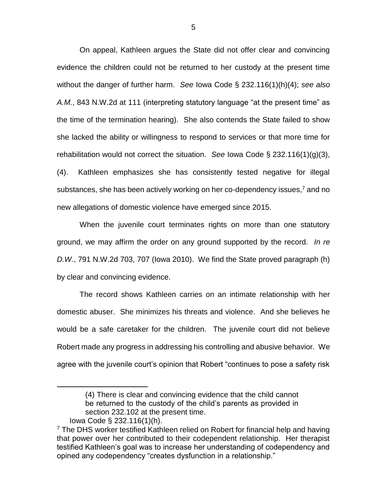On appeal, Kathleen argues the State did not offer clear and convincing evidence the children could not be returned to her custody at the present time without the danger of further harm. *See* Iowa Code § 232.116(1)(h)(4); *see also A.M.*, 843 N.W.2d at 111 (interpreting statutory language "at the present time" as the time of the termination hearing). She also contends the State failed to show she lacked the ability or willingness to respond to services or that more time for rehabilitation would not correct the situation. *See* Iowa Code § 232.116(1)(g)(3), (4). Kathleen emphasizes she has consistently tested negative for illegal substances, she has been actively working on her co-dependency issues, $<sup>7</sup>$  and no</sup> new allegations of domestic violence have emerged since 2015.

When the juvenile court terminates rights on more than one statutory ground, we may affirm the order on any ground supported by the record. *In re D.W.*, 791 N.W.2d 703, 707 (Iowa 2010). We find the State proved paragraph (h) by clear and convincing evidence.

The record shows Kathleen carries on an intimate relationship with her domestic abuser. She minimizes his threats and violence. And she believes he would be a safe caretaker for the children. The juvenile court did not believe Robert made any progress in addressing his controlling and abusive behavior. We agree with the juvenile court's opinion that Robert "continues to pose a safety risk

 $\overline{a}$ 

<sup>(4)</sup> There is clear and convincing evidence that the child cannot be returned to the custody of the child's parents as provided in section 232.102 at the present time.

Iowa Code § 232.116(1)(h).

<sup>&</sup>lt;sup>7</sup> The DHS worker testified Kathleen relied on Robert for financial help and having that power over her contributed to their codependent relationship. Her therapist testified Kathleen's goal was to increase her understanding of codependency and opined any codependency "creates dysfunction in a relationship."